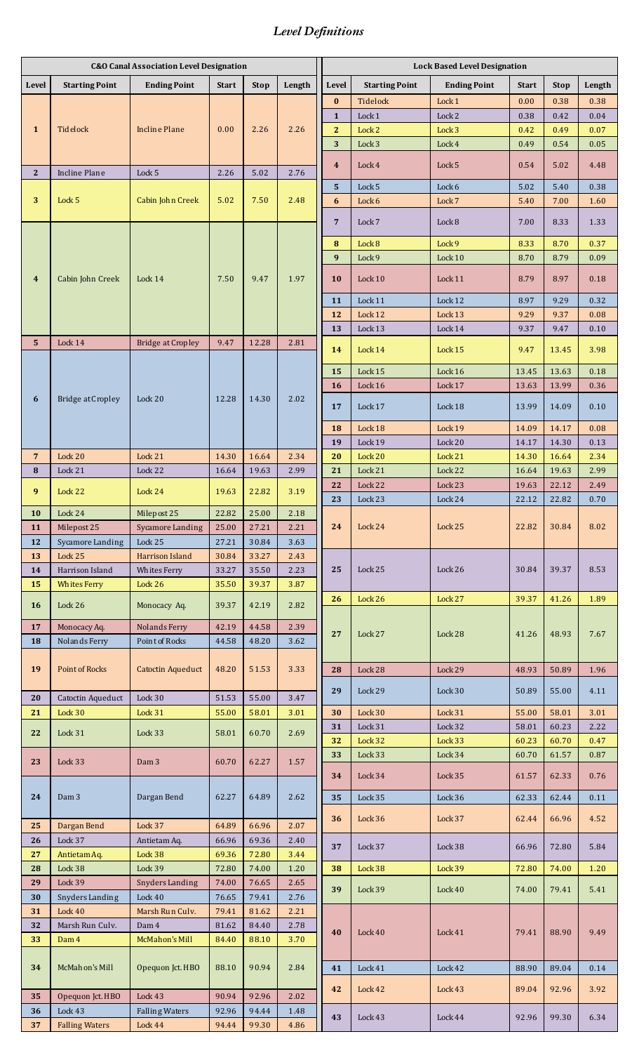## *Level Definitions*

|                         | <b>C&amp;O Canal Association Level Designation</b> |                              |                |                |              |                         | <b>Lock Based Level Designation</b> |                     |                |                |              |  |  |
|-------------------------|----------------------------------------------------|------------------------------|----------------|----------------|--------------|-------------------------|-------------------------------------|---------------------|----------------|----------------|--------------|--|--|
| <b>Level</b>            | <b>Starting Point</b>                              | <b>Ending Point</b>          | <b>Start</b>   | <b>Stop</b>    | Length       | <b>Level</b>            | <b>Starting Point</b>               | <b>Ending Point</b> | <b>Start</b>   | <b>Stop</b>    | Length       |  |  |
| $\mathbf{1}$            | Tidelock                                           | <b>Incline Plane</b>         | 0.00           | 2.26           | 2.26<br>2.76 | $\bf{0}$                | <b>Tidelock</b>                     | Lock 1              | 0.00           | 0.38           | 0.38         |  |  |
|                         |                                                    |                              |                |                |              | $\mathbf{1}$            | Lock 1                              | Lock 2              | 0.38           | 0.42           | 0.04         |  |  |
|                         |                                                    |                              |                |                |              | $\mathbf{2}$            | Lock 2                              | Lock 3              | 0.42           | 0.49           | 0.07         |  |  |
|                         |                                                    |                              |                |                |              | 3                       | Lock 3                              | Lock 4              | 0.49           | 0.54           | 0.05         |  |  |
| $\mathbf{2}$            | Incline Plane                                      | Lock 5                       | 2.26           | 5.02           |              | $\overline{\mathbf{4}}$ | Lock 4                              | Lock 5              | 0.54           | 5.02           | 4.48         |  |  |
|                         |                                                    |                              |                |                |              | 5                       | Lock 5                              | Lock 6              | 5.02           | 5.40           | 0.38         |  |  |
| 3                       | Lock 5                                             | Cabin John Creek             | 5.02           | 7.50           | 2.48         | 6                       | Lock 6                              | Lock 7              | 5.40           | 7.00           | 1.60         |  |  |
|                         |                                                    |                              |                |                |              | $\overline{7}$          | Lock 7                              | Lock 8              | 7.00           | 8.33           | 1.33         |  |  |
|                         | Cabin John Creek                                   | Lock 14                      | 7.50           | 9.47           | 1.97         | 8                       | Lock 8                              | Lock 9              | 8.33           | 8.70           | 0.37         |  |  |
| $\overline{\mathbf{4}}$ |                                                    |                              |                |                |              | 9                       | Lock 9                              | Lock $10$           | 8.70           | 8.79           | 0.09         |  |  |
|                         |                                                    |                              |                |                |              | 10                      | Lock 10                             | Lock 11             | 8.79           | 8.97           | 0.18         |  |  |
|                         |                                                    |                              |                |                |              | 11                      | Lock 11                             | Lock 12             | 8.97           | 9.29           | 0.32         |  |  |
|                         |                                                    |                              |                |                |              | 12                      | Lock 12                             | Lock 13             | 9.29           | 9.37           | 0.08         |  |  |
|                         |                                                    |                              |                |                |              | 13                      | Lock 13                             | Lock 14             | 9.37           | 9.47           | 0.10         |  |  |
| 5                       | Lock 14                                            | <b>Bridge at Cropley</b>     | 9.47           | 12.28<br>14.30 | 2.81         | 14                      | Lock 14                             | Lock 15             | 9.47           | 13.45          | 3.98         |  |  |
|                         |                                                    |                              |                |                |              | 15                      | Lock 15                             | Lock 16             | 13.45          | 13.63          | 0.18         |  |  |
|                         |                                                    |                              |                |                |              | 16                      | Lock 16                             | Lock 17             | 13.63          | 13.99          | 0.36         |  |  |
| 6                       | <b>Bridge at Cropley</b>                           | Lock 20                      | 12.28          |                | 2.02         | 17                      | Lock 17                             | Lock 18             | 13.99          | 14.09          | 0.10         |  |  |
|                         |                                                    |                              |                |                |              | 18                      | Lock 18                             | Lock 19             | 14.09          | 14.17          | 0.08         |  |  |
|                         |                                                    |                              |                |                |              | 19                      | Lock 19                             | Lock 20             | 14.17          | 14.30          | 0.13         |  |  |
| 7<br>8                  | Lock 20<br>Lock 21                                 | Lock 21<br>Lock 22           | 14.30<br>16.64 | 16.64<br>19.63 | 2.34<br>2.99 | 20<br>21                | Lock 20<br>Lock 21                  | Lock 21<br>Lock 22  | 14.30<br>16.64 | 16.64<br>19.63 | 2.34<br>2.99 |  |  |
|                         |                                                    |                              |                |                |              | 22                      | Lock 22                             | Lock 23             | 19.63          | 22.12          | 2.49         |  |  |
| 9                       | Lock 22                                            | Lock 24                      | 19.63          | 22.82          | 3.19         | 23                      | Lock 23                             | Lock 24             | 22.12          | 22.82          | 0.70         |  |  |
| 10                      | Lock 24                                            | Milepost 25                  | 22.82          | 25.00          | 2.18         |                         |                                     |                     |                |                |              |  |  |
| 11                      | Milepost 25                                        | Sycamore Landing             | 25.00          | 27.21          | 2.21         | 24                      | Lock 24                             | Lock 25             | 22.82          | 30.84          | 8.02         |  |  |
| 12                      | Sycamore Landing                                   | Lock 25                      | 27.21          | 30.84          | 3.63         |                         |                                     |                     |                |                |              |  |  |
| 13                      | Lock 25                                            | Harrison Island              | 30.84          | 33.27          | 2.43         |                         |                                     |                     |                |                |              |  |  |
| 14                      | Harrison Island                                    | Whites Ferry                 | 33.27          | 35.50          | 2.23         | 25                      | Lock 25                             | Lock 26             | 30.84          | 39.37          | 8.53         |  |  |
| 15                      | <b>Whites Ferry</b>                                | Lock 26                      | 35.50          | 39.37          | 3.87         |                         |                                     |                     | 39.37          |                | 1.89         |  |  |
| <b>16</b>               | Lock $26$                                          | Monocacy Aq.                 | 39.37          | 42.19          | 2.82         | 26                      | Lock 26                             | Lock 27             |                | 41.26          |              |  |  |
| 17                      | Monocacy Aq.                                       | Nolands Ferry                | 42.19          | 44.58          | 2.39         |                         |                                     |                     |                |                |              |  |  |
| 18                      | <b>Nolands Ferry</b>                               | Point of Rocks               | 44.58          | 48.20          | 3.62         | 27                      | Lock 27                             | Lock 28             | 41.26          | 48.93          | 7.67         |  |  |
|                         |                                                    |                              |                |                |              |                         |                                     |                     |                |                |              |  |  |
| 19                      | Point of Rocks                                     | Catoctin Aqueduct            | 48.20          | 51.53          | 3.33         | 28                      | Lock 28                             | Lock 29             | 48.93          | 50.89          | 1.96         |  |  |
| 20                      | Catoctin Aqueduct                                  | Lock 30                      | 51.53          | 55.00          | 3.47         | 29                      | Lock 29                             | Lock 30             | 50.89          | 55.00          | 4.11         |  |  |
| 21                      | Lock 30                                            | Lock 31                      | 55.00          | 58.01          | 3.01         | 30                      | Lock 30                             | Lock 31             | 55.00          | 58.01          | 3.01         |  |  |
| 22                      | Lock 31                                            | Lock 33                      | 58.01          | 60.70          | 2.69         | 31                      | Lock 31                             | Lock 32             | 58.01          | 60.23          | 2.22         |  |  |
|                         |                                                    |                              |                |                |              | 32                      | Lock 32                             | Lock 33             | 60.23          | 60.70          | 0.47         |  |  |
| 23                      | Lock 33                                            | Dam <sub>3</sub>             | 60.70          | 62.27          | 1.57         | 33                      | Lock 33                             | Lock 34             | 60.70          | 61.57          | 0.87         |  |  |
|                         |                                                    |                              |                |                |              | 34                      | Lock 34                             | Lock 35             | 61.57          | 62.33          | 0.76         |  |  |
| 24                      | Dam <sub>3</sub>                                   | Dargan Bend                  | 62.27          | 64.89          | 2.62         | 35                      | Lock 35                             | Lock 36             | 62.33          | 62.44          | 0.11         |  |  |
|                         |                                                    |                              |                |                |              |                         |                                     |                     |                |                |              |  |  |
| 25                      | Dargan Bend                                        | Lock 37                      | 64.89          | 66.96          | 2.07         | 36                      | Lock 36                             | Lock 37             | 62.44          | 66.96          | 4.52         |  |  |
| 26                      | Lock 37                                            | Antietam Aq.                 | 66.96          | 69.36          | 2.40         | 37                      | Lock 37                             | Lock 38             | 66.96          | 72.80          | 5.84         |  |  |
| 27                      | Antietam Aq.                                       | Lock 38                      | 69.36          | 72.80          | 3.44         |                         |                                     |                     |                |                |              |  |  |
| 28                      | Lock 38                                            | Lock 39                      | 72.80          | 74.00          | 1.20         | 38                      | Lock 38                             | Lock 39             | 72.80          | 74.00          | 1.20         |  |  |
| 29                      | Lock 39                                            | Snyders Landing              | 74.00          | 76.65          | 2.65         | 39                      | Lock 39                             | Lock 40             | 74.00          | 79.41          | 5.41         |  |  |
| 30<br>31                | Snyders Landing<br>Lock $40$                       | Lock $40$<br>Marsh Run Culv. | 76.65<br>79.41 | 79.41<br>81.62 | 2.76<br>2.21 |                         |                                     |                     |                |                |              |  |  |
| 32                      | Marsh Run Culv.                                    | Dam 4                        | 81.62          | 84.40          | 2.78         |                         | Lock 40                             | Lock 41             | 79.41          | 88.90          | 9.49         |  |  |
| 33                      | Dam 4                                              | McMahon's Mill               | 84.40          | 88.10          | 3.70         | 40                      |                                     |                     |                |                |              |  |  |
|                         |                                                    |                              |                |                |              |                         |                                     |                     |                |                |              |  |  |
| 34                      | McMahon's Mill                                     | Opequon Jct. HBO             | 88.10          | 90.94          | 2.84         | 41                      | Lock 41                             | Lock 42             | 88.90          | 89.04          | 0.14         |  |  |
|                         |                                                    |                              |                |                |              | 42                      | Lock 42                             | Lock 43             | 89.04          | 92.96          | 3.92         |  |  |
| 35                      | Opequon Jct. HBO                                   | $\log 43$                    | 90.94          | 92.96          | 2.02         |                         |                                     |                     |                |                |              |  |  |
| 36                      | Lock 43                                            | <b>Falling Waters</b>        | 92.96          | 94.44          | 1.48         | 43                      | Lock 43                             | Lock 44             | 92.96          | 99.30          | 6.34         |  |  |
| 37                      | <b>Falling Waters</b>                              | Lock 44                      | 94.44          | 99.30          | 4.86         |                         |                                     |                     |                |                |              |  |  |